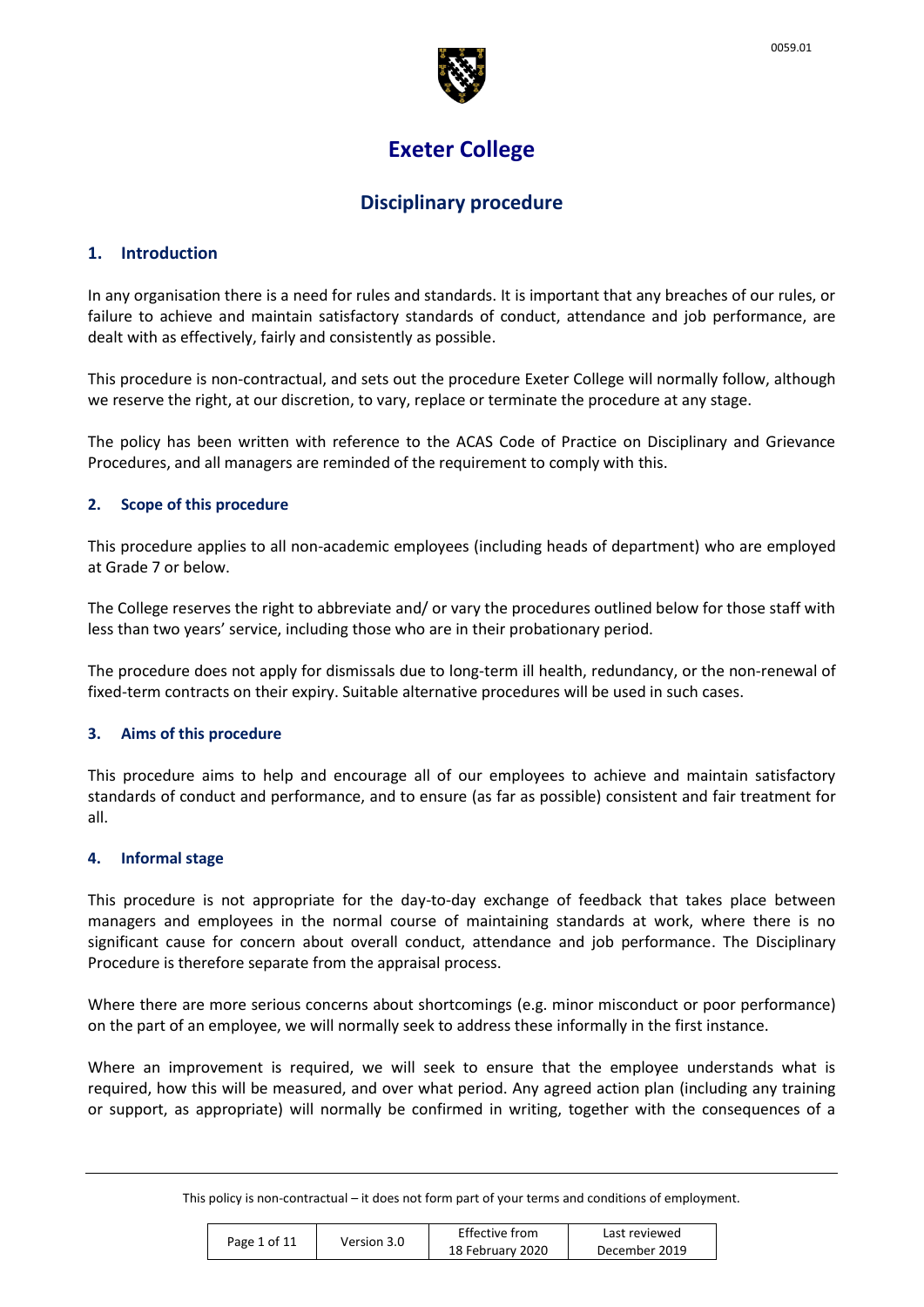

# **Exeter College**

# **Disciplinary procedure**

# **1. Introduction**

In any organisation there is a need for rules and standards. It is important that any breaches of our rules, or failure to achieve and maintain satisfactory standards of conduct, attendance and job performance, are dealt with as effectively, fairly and consistently as possible.

This procedure is non-contractual, and sets out the procedure Exeter College will normally follow, although we reserve the right, at our discretion, to vary, replace or terminate the procedure at any stage.

The policy has been written with reference to the ACAS Code of Practice on Disciplinary and Grievance Procedures, and all managers are reminded of the requirement to comply with this.

#### **2. Scope of this procedure**

This procedure applies to all non-academic employees (including heads of department) who are employed at Grade 7 or below.

The College reserves the right to abbreviate and/ or vary the procedures outlined below for those staff with less than two years' service, including those who are in their probationary period.

The procedure does not apply for dismissals due to long-term ill health, redundancy, or the non-renewal of fixed-term contracts on their expiry. Suitable alternative procedures will be used in such cases.

#### **3. Aims of this procedure**

This procedure aims to help and encourage all of our employees to achieve and maintain satisfactory standards of conduct and performance, and to ensure (as far as possible) consistent and fair treatment for all.

#### **4. Informal stage**

This procedure is not appropriate for the day-to-day exchange of feedback that takes place between managers and employees in the normal course of maintaining standards at work, where there is no significant cause for concern about overall conduct, attendance and job performance. The Disciplinary Procedure is therefore separate from the appraisal process.

Where there are more serious concerns about shortcomings (e.g. minor misconduct or poor performance) on the part of an employee, we will normally seek to address these informally in the first instance.

Where an improvement is required, we will seek to ensure that the employee understands what is required, how this will be measured, and over what period. Any agreed action plan (including any training or support, as appropriate) will normally be confirmed in writing, together with the consequences of a

| Page 1 of 11 | Version 3.0 | Effective from   | Last reviewed |
|--------------|-------------|------------------|---------------|
|              |             | 18 February 2020 | December 2019 |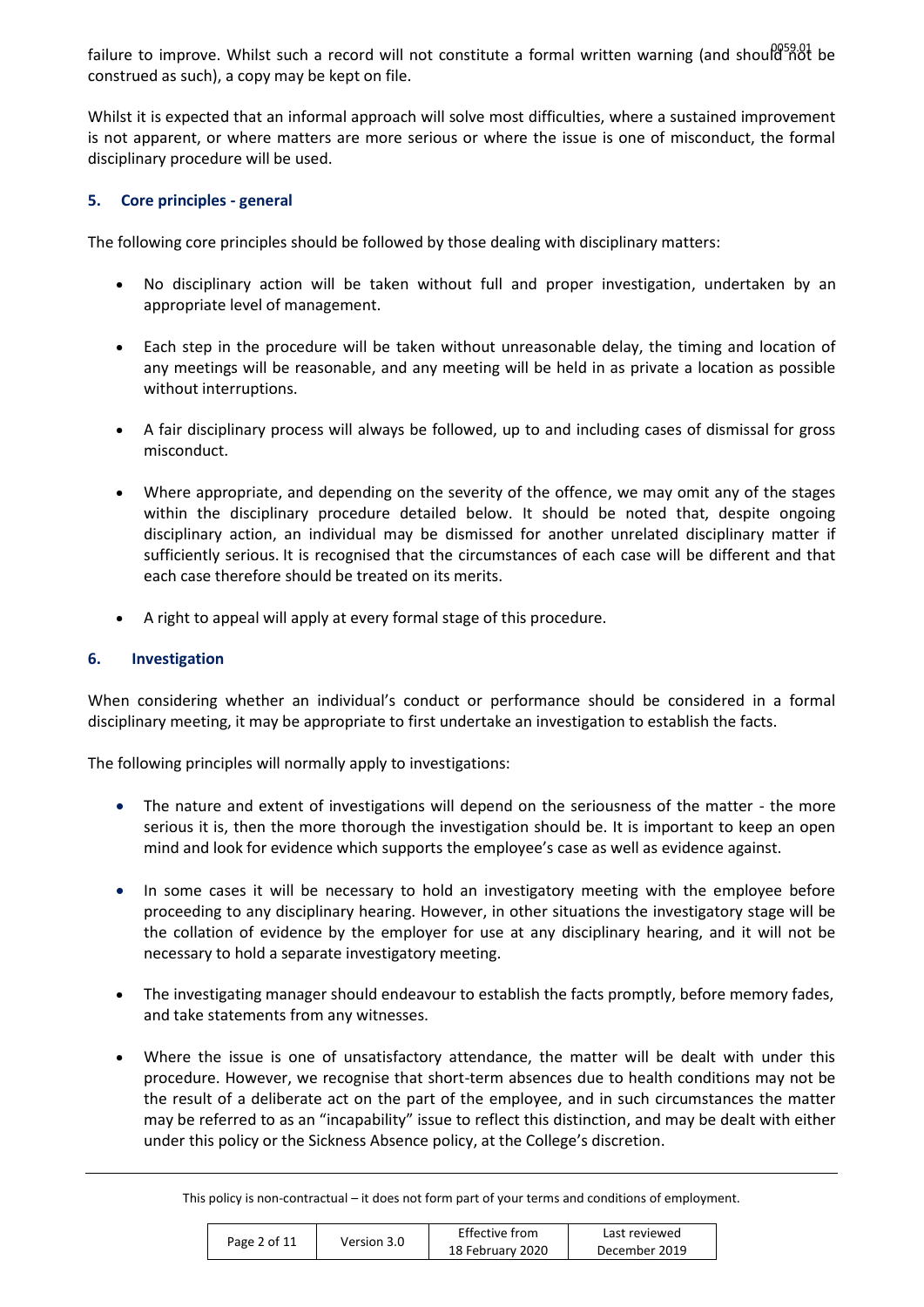failure to improve. Whilst such a record will not constitute a formal written warning (and should  $699.01$  be construed as such), a copy may be kept on file.

Whilst it is expected that an informal approach will solve most difficulties, where a sustained improvement is not apparent, or where matters are more serious or where the issue is one of misconduct, the formal disciplinary procedure will be used.

# **5. Core principles - general**

The following core principles should be followed by those dealing with disciplinary matters:

- No disciplinary action will be taken without full and proper investigation, undertaken by an appropriate level of management.
- Each step in the procedure will be taken without unreasonable delay, the timing and location of any meetings will be reasonable, and any meeting will be held in as private a location as possible without interruptions.
- A fair disciplinary process will always be followed, up to and including cases of dismissal for gross misconduct.
- Where appropriate, and depending on the severity of the offence, we may omit any of the stages within the disciplinary procedure detailed below. It should be noted that, despite ongoing disciplinary action, an individual may be dismissed for another unrelated disciplinary matter if sufficiently serious. It is recognised that the circumstances of each case will be different and that each case therefore should be treated on its merits.
- A right to appeal will apply at every formal stage of this procedure.

#### **6. Investigation**

When considering whether an individual's conduct or performance should be considered in a formal disciplinary meeting, it may be appropriate to first undertake an investigation to establish the facts.

The following principles will normally apply to investigations:

- The nature and extent of investigations will depend on the seriousness of the matter the more serious it is, then the more thorough the investigation should be. It is important to keep an open mind and look for evidence which supports the employee's case as well as evidence against.
- In some cases it will be necessary to hold an investigatory meeting with the employee before proceeding to any disciplinary hearing. However, in other situations the investigatory stage will be the collation of evidence by the employer for use at any disciplinary hearing, and it will not be necessary to hold a separate investigatory meeting.
- The investigating manager should endeavour to establish the facts promptly, before memory fades, and take statements from any witnesses.
- Where the issue is one of unsatisfactory attendance, the matter will be dealt with under this procedure. However, we recognise that short-term absences due to health conditions may not be the result of a deliberate act on the part of the employee, and in such circumstances the matter may be referred to as an "incapability" issue to reflect this distinction, and may be dealt with either under this policy or the Sickness Absence policy, at the College's discretion.

| Page 2 of 11 | Version 3.0 | Effective from   | Last reviewed |
|--------------|-------------|------------------|---------------|
|              |             | 18 February 2020 | December 2019 |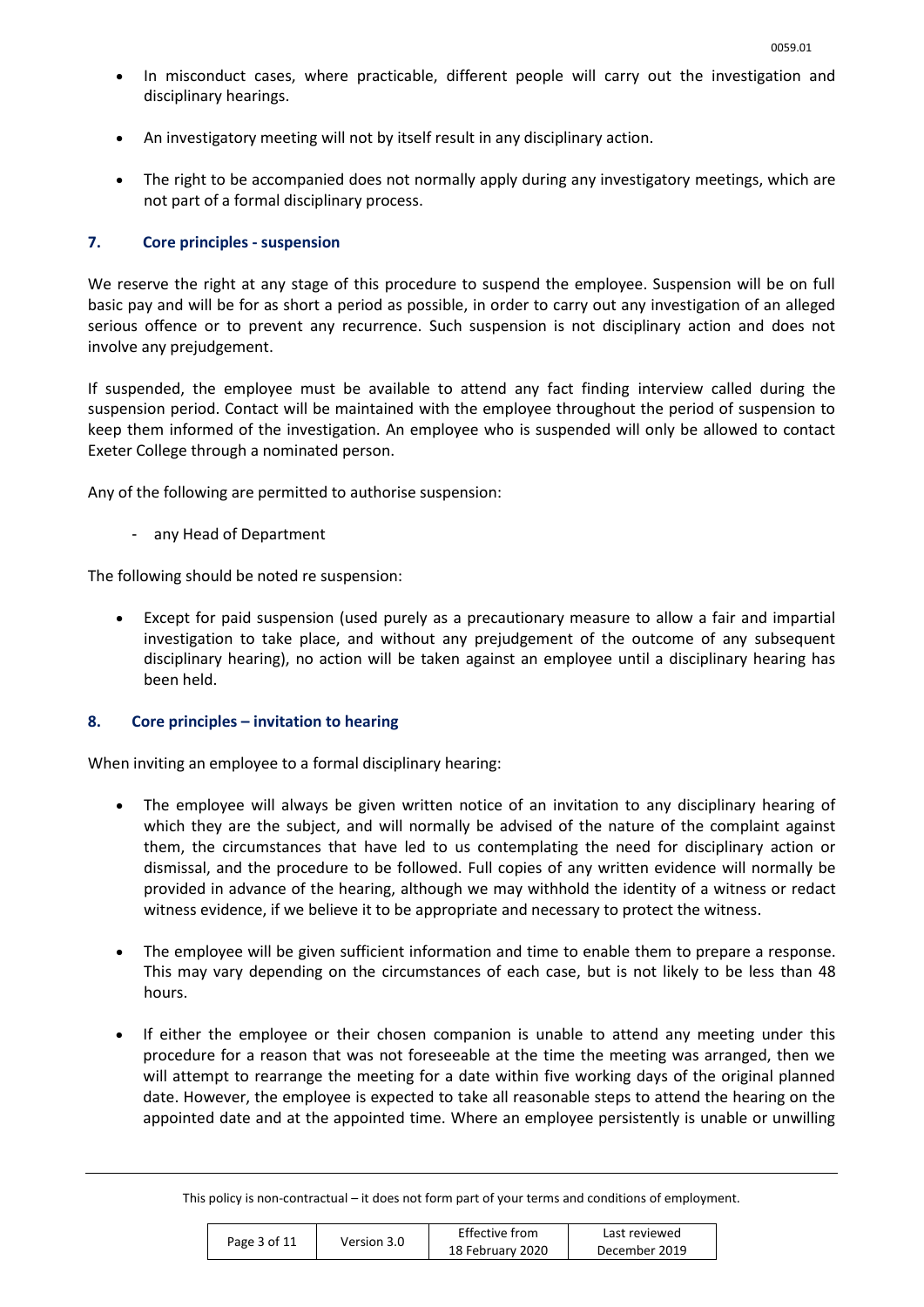- In misconduct cases, where practicable, different people will carry out the investigation and disciplinary hearings.
- An investigatory meeting will not by itself result in any disciplinary action.
- The right to be accompanied does not normally apply during any investigatory meetings, which are not part of a formal disciplinary process.

#### **7. Core principles - suspension**

We reserve the right at any stage of this procedure to suspend the employee. Suspension will be on full basic pay and will be for as short a period as possible, in order to carry out any investigation of an alleged serious offence or to prevent any recurrence. Such suspension is not disciplinary action and does not involve any prejudgement.

If suspended, the employee must be available to attend any fact finding interview called during the suspension period. Contact will be maintained with the employee throughout the period of suspension to keep them informed of the investigation. An employee who is suspended will only be allowed to contact Exeter College through a nominated person.

Any of the following are permitted to authorise suspension:

- any Head of Department

The following should be noted re suspension:

 Except for paid suspension (used purely as a precautionary measure to allow a fair and impartial investigation to take place, and without any prejudgement of the outcome of any subsequent disciplinary hearing), no action will be taken against an employee until a disciplinary hearing has been held.

#### **8. Core principles – invitation to hearing**

When inviting an employee to a formal disciplinary hearing:

- The employee will always be given written notice of an invitation to any disciplinary hearing of which they are the subject, and will normally be advised of the nature of the complaint against them, the circumstances that have led to us contemplating the need for disciplinary action or dismissal, and the procedure to be followed. Full copies of any written evidence will normally be provided in advance of the hearing, although we may withhold the identity of a witness or redact witness evidence, if we believe it to be appropriate and necessary to protect the witness.
- The employee will be given sufficient information and time to enable them to prepare a response. This may vary depending on the circumstances of each case, but is not likely to be less than 48 hours.
- If either the employee or their chosen companion is unable to attend any meeting under this procedure for a reason that was not foreseeable at the time the meeting was arranged, then we will attempt to rearrange the meeting for a date within five working days of the original planned date. However, the employee is expected to take all reasonable steps to attend the hearing on the appointed date and at the appointed time. Where an employee persistently is unable or unwilling

| Page 3 of 11 | Version 3.0 | Effective from   | Last reviewed |
|--------------|-------------|------------------|---------------|
|              |             | 18 February 2020 | December 2019 |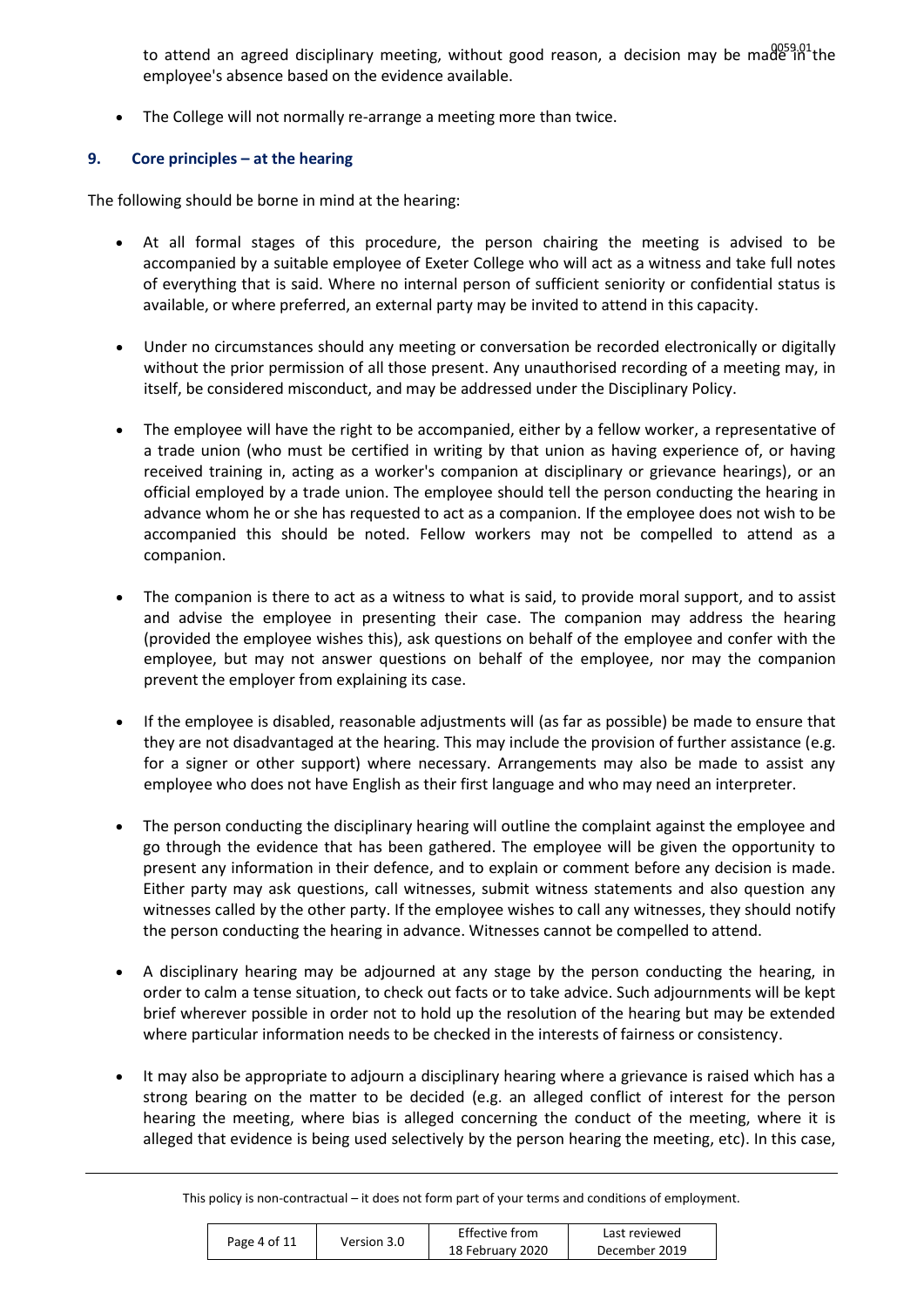to attend an agreed disciplinary meeting, without good reason, a decision may be ma $0^{059,01}_{0}$ the employee's absence based on the evidence available.

The College will not normally re-arrange a meeting more than twice.

# **9. Core principles – at the hearing**

The following should be borne in mind at the hearing:

- At all formal stages of this procedure, the person chairing the meeting is advised to be accompanied by a suitable employee of Exeter College who will act as a witness and take full notes of everything that is said. Where no internal person of sufficient seniority or confidential status is available, or where preferred, an external party may be invited to attend in this capacity.
- Under no circumstances should any meeting or conversation be recorded electronically or digitally without the prior permission of all those present. Any unauthorised recording of a meeting may, in itself, be considered misconduct, and may be addressed under the Disciplinary Policy.
- The employee will have the right to be accompanied, either by a fellow worker, a representative of a trade union (who must be certified in writing by that union as having experience of, or having received training in, acting as a worker's companion at disciplinary or grievance hearings), or an official employed by a trade union. The employee should tell the person conducting the hearing in advance whom he or she has requested to act as a companion. If the employee does not wish to be accompanied this should be noted. Fellow workers may not be compelled to attend as a companion.
- The companion is there to act as a witness to what is said, to provide moral support, and to assist and advise the employee in presenting their case. The companion may address the hearing (provided the employee wishes this), ask questions on behalf of the employee and confer with the employee, but may not answer questions on behalf of the employee, nor may the companion prevent the employer from explaining its case.
- If the employee is disabled, reasonable adjustments will (as far as possible) be made to ensure that they are not disadvantaged at the hearing. This may include the provision of further assistance (e.g. for a signer or other support) where necessary. Arrangements may also be made to assist any employee who does not have English as their first language and who may need an interpreter.
- The person conducting the disciplinary hearing will outline the complaint against the employee and go through the evidence that has been gathered. The employee will be given the opportunity to present any information in their defence, and to explain or comment before any decision is made. Either party may ask questions, call witnesses, submit witness statements and also question any witnesses called by the other party. If the employee wishes to call any witnesses, they should notify the person conducting the hearing in advance. Witnesses cannot be compelled to attend.
- A disciplinary hearing may be adjourned at any stage by the person conducting the hearing, in order to calm a tense situation, to check out facts or to take advice. Such adjournments will be kept brief wherever possible in order not to hold up the resolution of the hearing but may be extended where particular information needs to be checked in the interests of fairness or consistency.
- It may also be appropriate to adjourn a disciplinary hearing where a grievance is raised which has a strong bearing on the matter to be decided (e.g. an alleged conflict of interest for the person hearing the meeting, where bias is alleged concerning the conduct of the meeting, where it is alleged that evidence is being used selectively by the person hearing the meeting, etc). In this case,

| Page 4 of 11 | Version 3.0 | Effective from   | Last reviewed |
|--------------|-------------|------------------|---------------|
|              |             | 18 February 2020 | December 2019 |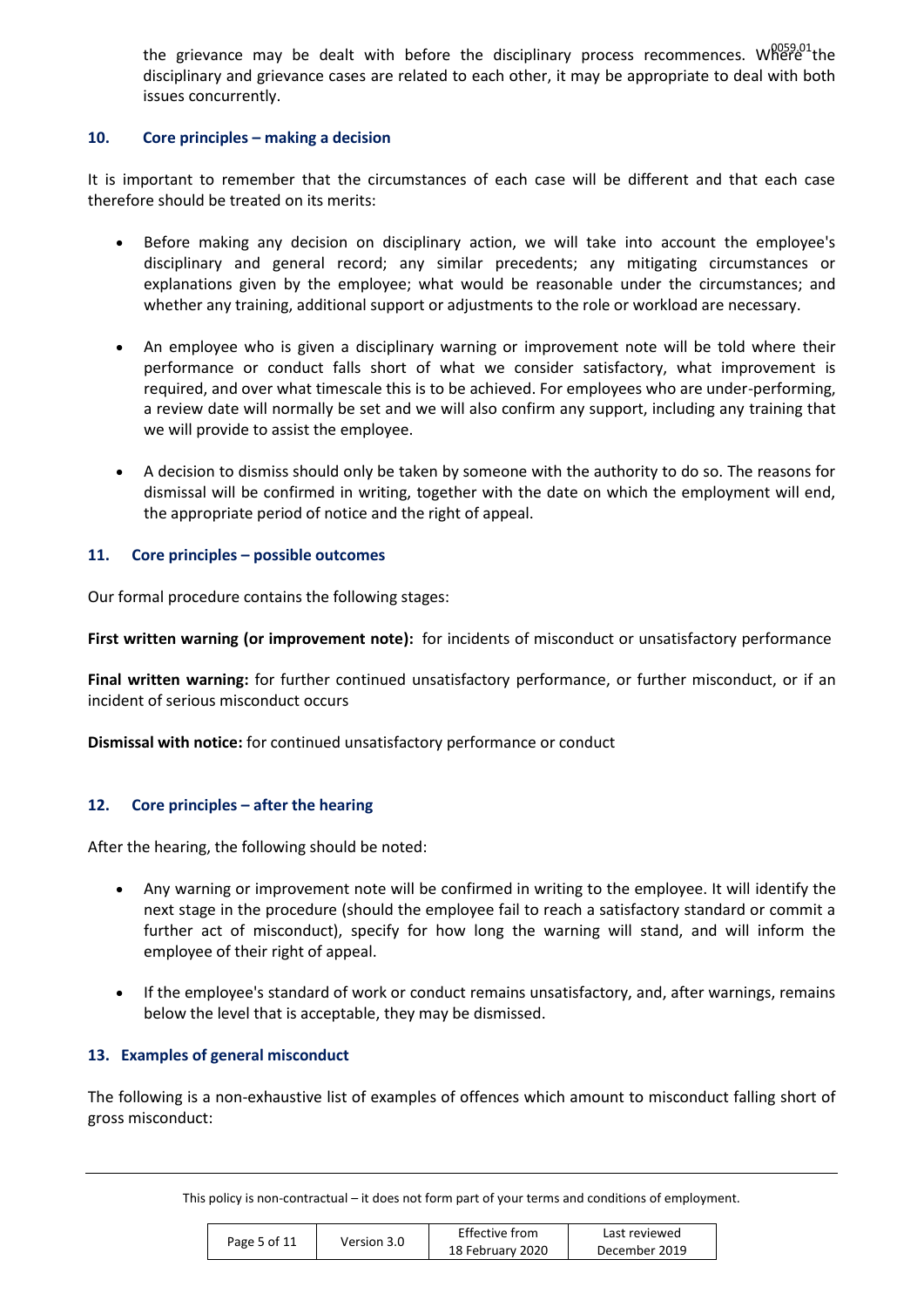the grievance may be dealt with before the disciplinary process recommences. Where the disciplinary and grievance cases are related to each other, it may be appropriate to deal with both issues concurrently.

# **10. Core principles – making a decision**

It is important to remember that the circumstances of each case will be different and that each case therefore should be treated on its merits:

- Before making any decision on disciplinary action, we will take into account the employee's disciplinary and general record; any similar precedents; any mitigating circumstances or explanations given by the employee; what would be reasonable under the circumstances; and whether any training, additional support or adjustments to the role or workload are necessary.
- An employee who is given a disciplinary warning or improvement note will be told where their performance or conduct falls short of what we consider satisfactory, what improvement is required, and over what timescale this is to be achieved. For employees who are under-performing, a review date will normally be set and we will also confirm any support, including any training that we will provide to assist the employee.
- A decision to dismiss should only be taken by someone with the authority to do so. The reasons for dismissal will be confirmed in writing, together with the date on which the employment will end, the appropriate period of notice and the right of appeal.

# **11. Core principles – possible outcomes**

Our formal procedure contains the following stages:

**First written warning (or improvement note):** for incidents of misconduct or unsatisfactory performance

**Final written warning:** for further continued unsatisfactory performance, or further misconduct, or if an incident of serious misconduct occurs

**Dismissal with notice:** for continued unsatisfactory performance or conduct

#### **12. Core principles – after the hearing**

After the hearing, the following should be noted:

- Any warning or improvement note will be confirmed in writing to the employee. It will identify the next stage in the procedure (should the employee fail to reach a satisfactory standard or commit a further act of misconduct), specify for how long the warning will stand, and will inform the employee of their right of appeal.
- If the employee's standard of work or conduct remains unsatisfactory, and, after warnings, remains below the level that is acceptable, they may be dismissed.

#### **13. Examples of general misconduct**

The following is a non-exhaustive list of examples of offences which amount to misconduct falling short of gross misconduct:

| Page 5 of 11 | Version 3.0 | Effective from   | Last reviewed |
|--------------|-------------|------------------|---------------|
|              |             | 18 February 2020 | December 2019 |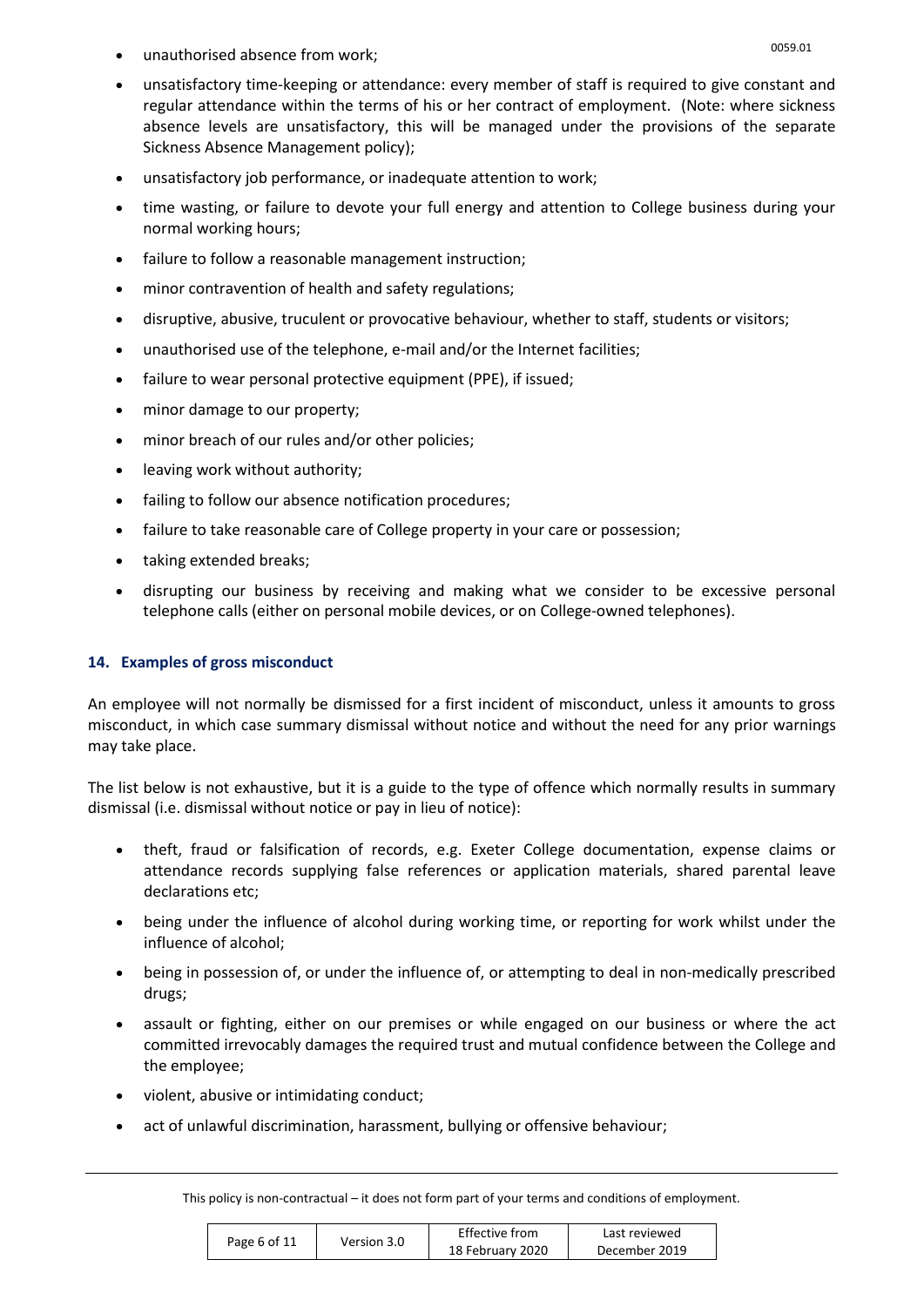- unauthorised absence from work;
- unsatisfactory time-keeping or attendance: every member of staff is required to give constant and regular attendance within the terms of his or her contract of employment. (Note: where sickness absence levels are unsatisfactory, this will be managed under the provisions of the separate Sickness Absence Management policy);
- unsatisfactory job performance, or inadequate attention to work;
- time wasting, or failure to devote your full energy and attention to College business during your normal working hours;
- failure to follow a reasonable management instruction;
- minor contravention of health and safety regulations;
- disruptive, abusive, truculent or provocative behaviour, whether to staff, students or visitors;
- unauthorised use of the telephone, e-mail and/or the Internet facilities;
- failure to wear personal protective equipment (PPE), if issued;
- minor damage to our property;
- minor breach of our rules and/or other policies;
- leaving work without authority;
- failing to follow our absence notification procedures;
- failure to take reasonable care of College property in your care or possession;
- taking extended breaks;
- disrupting our business by receiving and making what we consider to be excessive personal telephone calls (either on personal mobile devices, or on College-owned telephones).

# **14. Examples of gross misconduct**

An employee will not normally be dismissed for a first incident of misconduct, unless it amounts to gross misconduct, in which case summary dismissal without notice and without the need for any prior warnings may take place.

The list below is not exhaustive, but it is a guide to the type of offence which normally results in summary dismissal (i.e. dismissal without notice or pay in lieu of notice):

- theft, fraud or falsification of records, e.g. Exeter College documentation, expense claims or attendance records supplying false references or application materials, shared parental leave declarations etc;
- being under the influence of alcohol during working time, or reporting for work whilst under the influence of alcohol;
- being in possession of, or under the influence of, or attempting to deal in non-medically prescribed drugs;
- assault or fighting, either on our premises or while engaged on our business or where the act committed irrevocably damages the required trust and mutual confidence between the College and the employee;
- violent, abusive or intimidating conduct;
- act of unlawful discrimination, harassment, bullying or offensive behaviour;

| Page 6 of 11 | Version 3.0 | <b>Effective from</b> | Last reviewed |
|--------------|-------------|-----------------------|---------------|
|              |             | 18 February 2020      | December 2019 |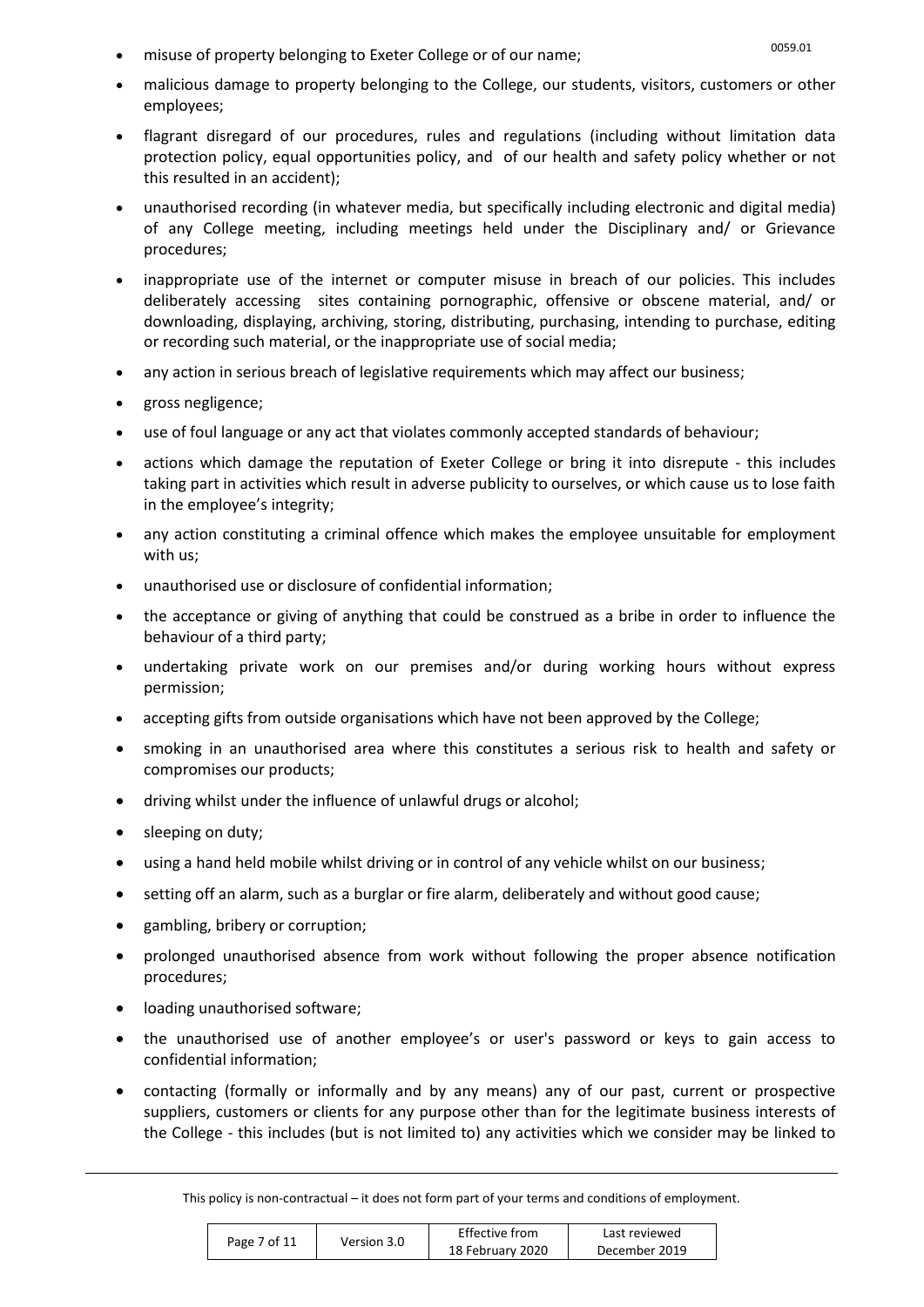- misuse of property belonging to Exeter College or of our name;
- malicious damage to property belonging to the College, our students, visitors, customers or other employees;
- flagrant disregard of our procedures, rules and regulations (including without limitation data protection policy, equal opportunities policy, and of our health and safety policy whether or not this resulted in an accident);
- unauthorised recording (in whatever media, but specifically including electronic and digital media) of any College meeting, including meetings held under the Disciplinary and/ or Grievance procedures;
- inappropriate use of the internet or computer misuse in breach of our policies. This includes deliberately accessing sites containing pornographic, offensive or obscene material, and/ or downloading, displaying, archiving, storing, distributing, purchasing, intending to purchase, editing or recording such material, or the inappropriate use of social media;
- any action in serious breach of legislative requirements which may affect our business;
- gross negligence;
- use of foul language or any act that violates commonly accepted standards of behaviour;
- actions which damage the reputation of Exeter College or bring it into disrepute this includes taking part in activities which result in adverse publicity to ourselves, or which cause us to lose faith in the employee's integrity;
- any action constituting a criminal offence which makes the employee unsuitable for employment with us;
- unauthorised use or disclosure of confidential information;
- the acceptance or giving of anything that could be construed as a bribe in order to influence the behaviour of a third party;
- undertaking private work on our premises and/or during working hours without express permission;
- accepting gifts from outside organisations which have not been approved by the College;
- smoking in an unauthorised area where this constitutes a serious risk to health and safety or compromises our products;
- driving whilst under the influence of unlawful drugs or alcohol;
- sleeping on duty;
- using a hand held mobile whilst driving or in control of any vehicle whilst on our business;
- setting off an alarm, such as a burglar or fire alarm, deliberately and without good cause;
- gambling, bribery or corruption;
- prolonged unauthorised absence from work without following the proper absence notification procedures;
- loading unauthorised software;
- the unauthorised use of another employee's or user's password or keys to gain access to confidential information;
- contacting (formally or informally and by any means) any of our past, current or prospective suppliers, customers or clients for any purpose other than for the legitimate business interests of the College - this includes (but is not limited to) any activities which we consider may be linked to

| Page 7 of 11 | Version 3.0 | <b>Effective from</b> | Last reviewed |
|--------------|-------------|-----------------------|---------------|
|              |             | 18 February 2020      | December 2019 |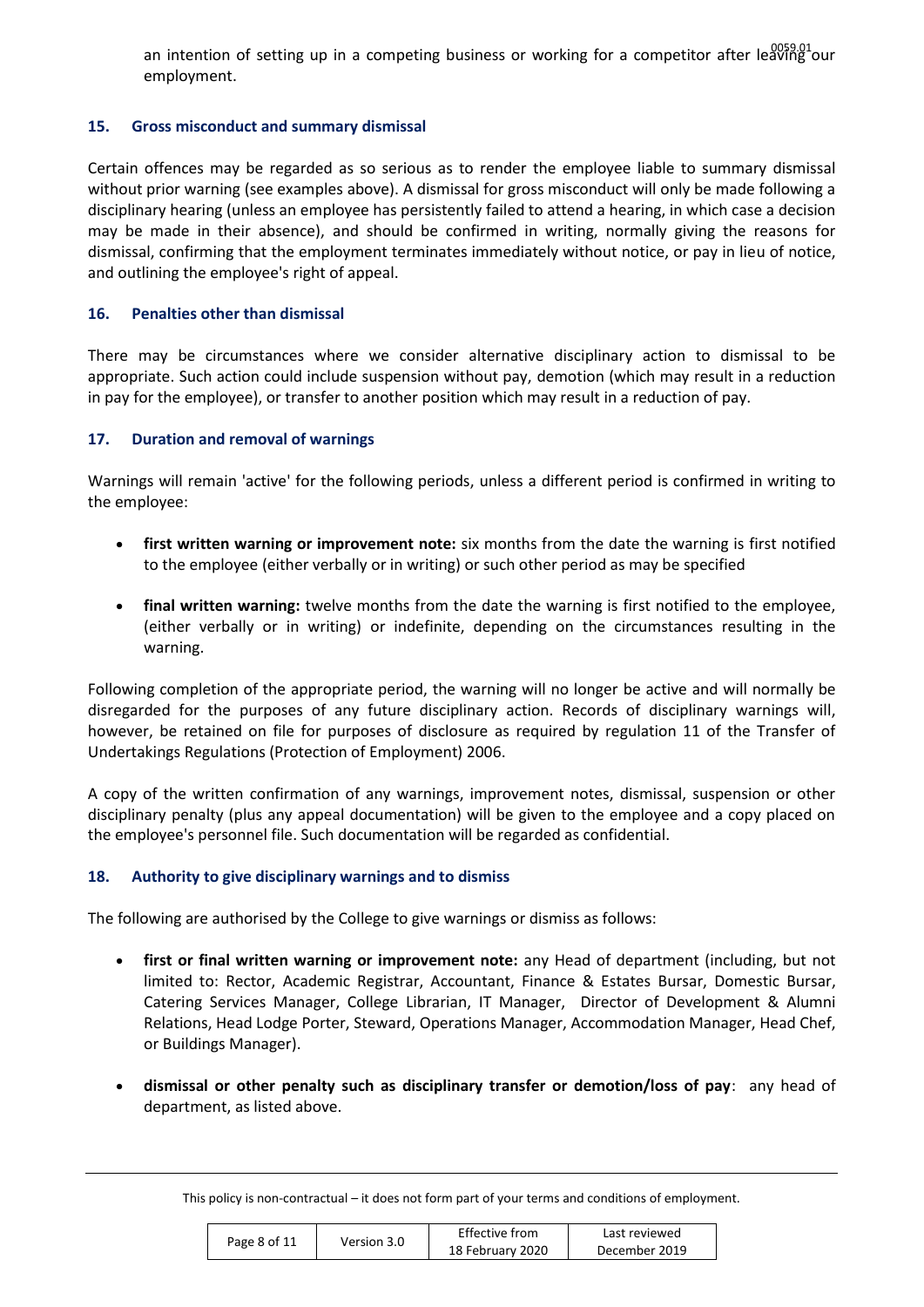an intention of setting up in a competing business or working for a competitor after leaving our employment.

# **15. Gross misconduct and summary dismissal**

Certain offences may be regarded as so serious as to render the employee liable to summary dismissal without prior warning (see examples above). A dismissal for gross misconduct will only be made following a disciplinary hearing (unless an employee has persistently failed to attend a hearing, in which case a decision may be made in their absence), and should be confirmed in writing, normally giving the reasons for dismissal, confirming that the employment terminates immediately without notice, or pay in lieu of notice, and outlining the employee's right of appeal.

# **16. Penalties other than dismissal**

There may be circumstances where we consider alternative disciplinary action to dismissal to be appropriate. Such action could include suspension without pay, demotion (which may result in a reduction in pay for the employee), or transfer to another position which may result in a reduction of pay.

# **17. Duration and removal of warnings**

Warnings will remain 'active' for the following periods, unless a different period is confirmed in writing to the employee:

- **first written warning or improvement note:** six months from the date the warning is first notified to the employee (either verbally or in writing) or such other period as may be specified
- **final written warning:** twelve months from the date the warning is first notified to the employee, (either verbally or in writing) or indefinite, depending on the circumstances resulting in the warning.

Following completion of the appropriate period, the warning will no longer be active and will normally be disregarded for the purposes of any future disciplinary action. Records of disciplinary warnings will, however, be retained on file for purposes of disclosure as required by regulation 11 of the Transfer of Undertakings Regulations (Protection of Employment) 2006.

A copy of the written confirmation of any warnings, improvement notes, dismissal, suspension or other disciplinary penalty (plus any appeal documentation) will be given to the employee and a copy placed on the employee's personnel file. Such documentation will be regarded as confidential.

#### **18. Authority to give disciplinary warnings and to dismiss**

The following are authorised by the College to give warnings or dismiss as follows:

- **first or final written warning or improvement note:** any Head of department (including, but not limited to: Rector, Academic Registrar, Accountant, Finance & Estates Bursar, Domestic Bursar, Catering Services Manager, College Librarian, IT Manager, Director of Development & Alumni Relations, Head Lodge Porter, Steward, Operations Manager, Accommodation Manager, Head Chef, or Buildings Manager).
- **dismissal or other penalty such as disciplinary transfer or demotion/loss of pay**: any head of department, as listed above.

| Page 8 of 11 | Version 3.0 | Effective from   | Last reviewed |
|--------------|-------------|------------------|---------------|
|              |             | 18 February 2020 | December 2019 |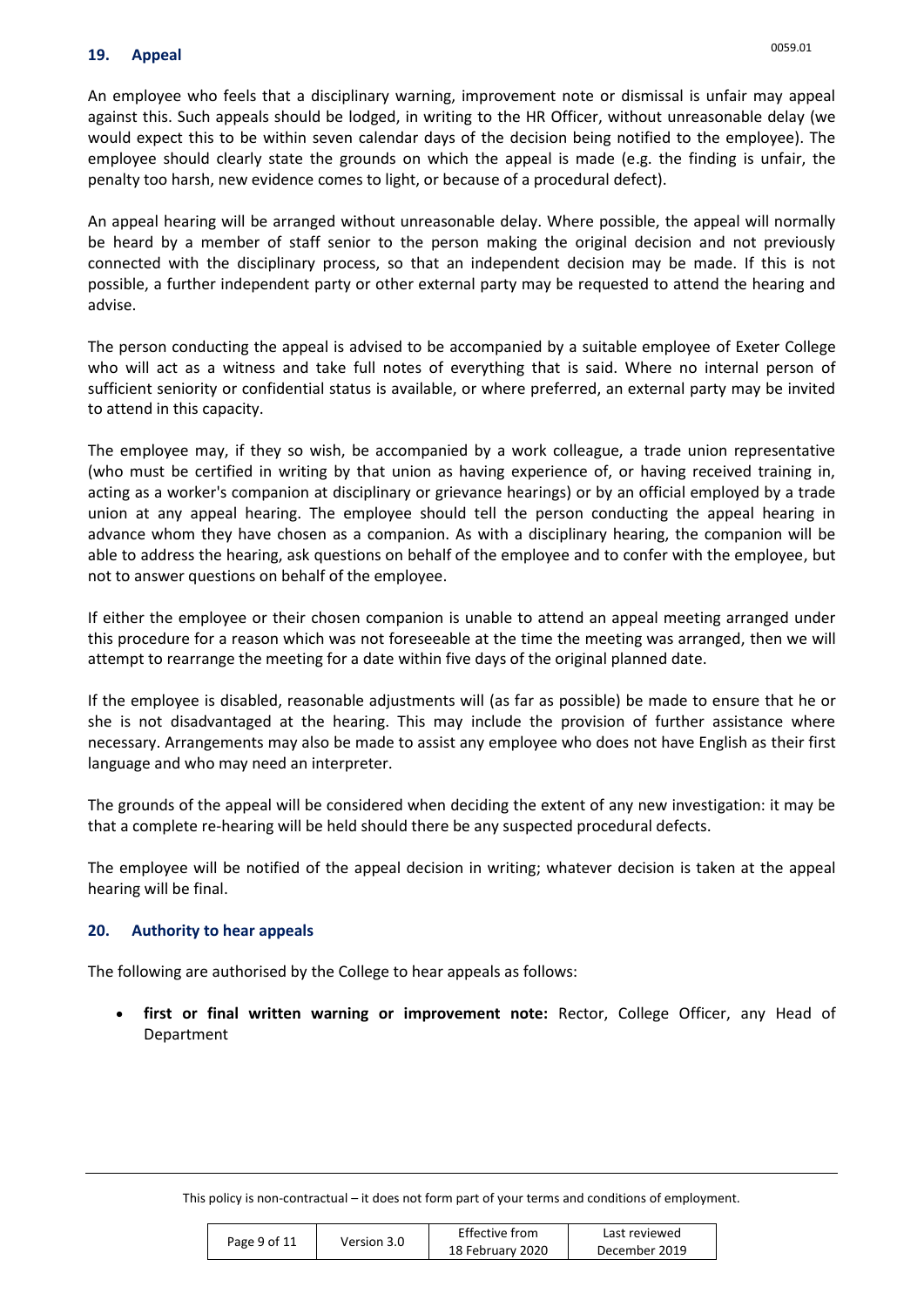# **19. Appeal**

An employee who feels that a disciplinary warning, improvement note or dismissal is unfair may appeal against this. Such appeals should be lodged, in writing to the HR Officer, without unreasonable delay (we would expect this to be within seven calendar days of the decision being notified to the employee). The employee should clearly state the grounds on which the appeal is made (e.g. the finding is unfair, the penalty too harsh, new evidence comes to light, or because of a procedural defect).

An appeal hearing will be arranged without unreasonable delay. Where possible, the appeal will normally be heard by a member of staff senior to the person making the original decision and not previously connected with the disciplinary process, so that an independent decision may be made. If this is not possible, a further independent party or other external party may be requested to attend the hearing and advise.

The person conducting the appeal is advised to be accompanied by a suitable employee of Exeter College who will act as a witness and take full notes of everything that is said. Where no internal person of sufficient seniority or confidential status is available, or where preferred, an external party may be invited to attend in this capacity.

The employee may, if they so wish, be accompanied by a work colleague, a trade union representative (who must be certified in writing by that union as having experience of, or having received training in, acting as a worker's companion at disciplinary or grievance hearings) or by an official employed by a trade union at any appeal hearing. The employee should tell the person conducting the appeal hearing in advance whom they have chosen as a companion. As with a disciplinary hearing, the companion will be able to address the hearing, ask questions on behalf of the employee and to confer with the employee, but not to answer questions on behalf of the employee.

If either the employee or their chosen companion is unable to attend an appeal meeting arranged under this procedure for a reason which was not foreseeable at the time the meeting was arranged, then we will attempt to rearrange the meeting for a date within five days of the original planned date.

If the employee is disabled, reasonable adjustments will (as far as possible) be made to ensure that he or she is not disadvantaged at the hearing. This may include the provision of further assistance where necessary. Arrangements may also be made to assist any employee who does not have English as their first language and who may need an interpreter.

The grounds of the appeal will be considered when deciding the extent of any new investigation: it may be that a complete re-hearing will be held should there be any suspected procedural defects.

The employee will be notified of the appeal decision in writing; whatever decision is taken at the appeal hearing will be final.

#### **20. Authority to hear appeals**

The following are authorised by the College to hear appeals as follows:

 **first or final written warning or improvement note:** Rector, College Officer, any Head of Department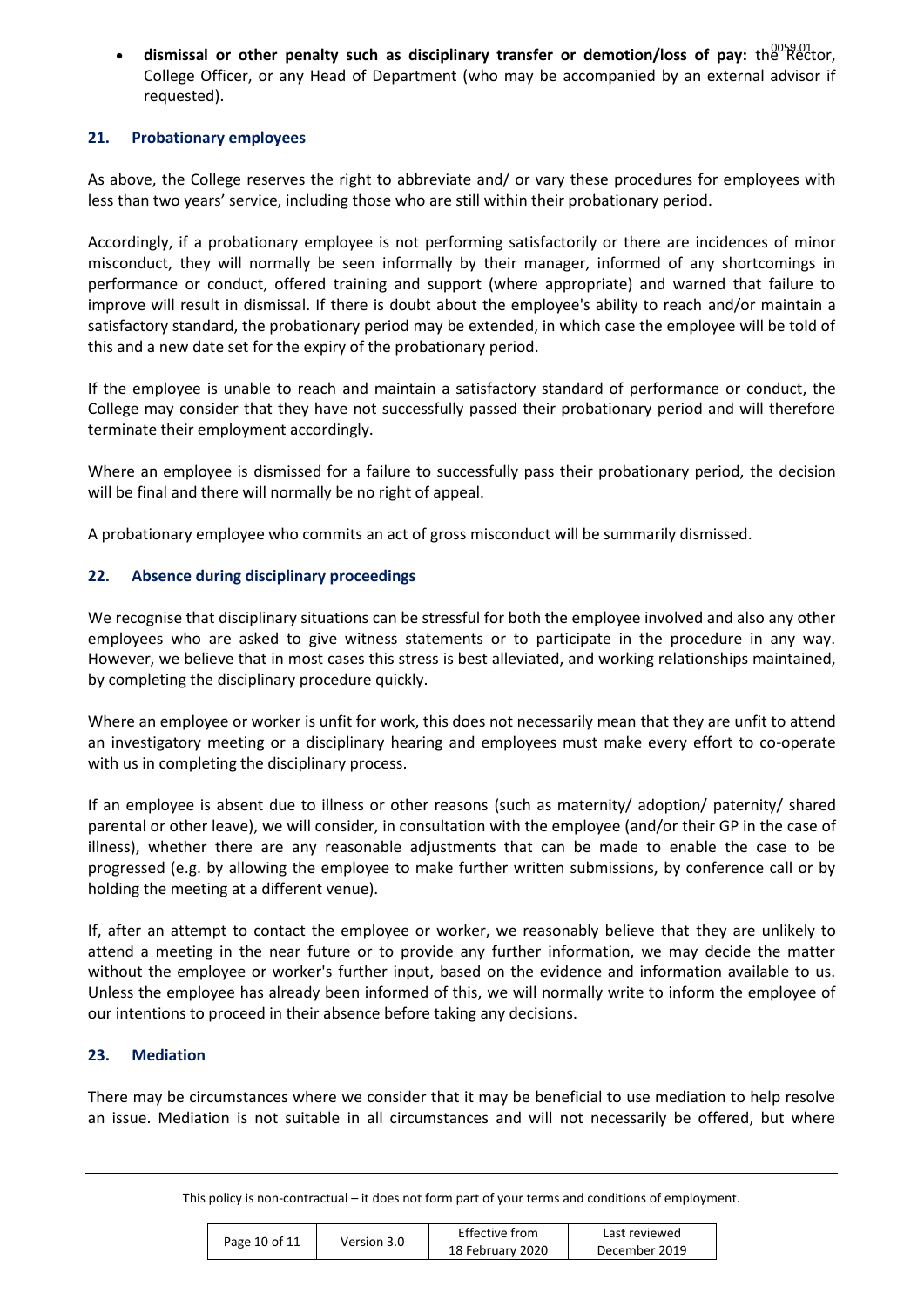• dismissal or other penalty such as disciplinary transfer or demotion/loss of pay: the Rector, College Officer, or any Head of Department (who may be accompanied by an external advisor if requested).

# **21. Probationary employees**

As above, the College reserves the right to abbreviate and/ or vary these procedures for employees with less than two years' service, including those who are still within their probationary period.

Accordingly, if a probationary employee is not performing satisfactorily or there are incidences of minor misconduct, they will normally be seen informally by their manager, informed of any shortcomings in performance or conduct, offered training and support (where appropriate) and warned that failure to improve will result in dismissal. If there is doubt about the employee's ability to reach and/or maintain a satisfactory standard, the probationary period may be extended, in which case the employee will be told of this and a new date set for the expiry of the probationary period.

If the employee is unable to reach and maintain a satisfactory standard of performance or conduct, the College may consider that they have not successfully passed their probationary period and will therefore terminate their employment accordingly.

Where an employee is dismissed for a failure to successfully pass their probationary period, the decision will be final and there will normally be no right of appeal.

A probationary employee who commits an act of gross misconduct will be summarily dismissed.

# **22. Absence during disciplinary proceedings**

We recognise that disciplinary situations can be stressful for both the employee involved and also any other employees who are asked to give witness statements or to participate in the procedure in any way. However, we believe that in most cases this stress is best alleviated, and working relationships maintained, by completing the disciplinary procedure quickly.

Where an employee or worker is unfit for work, this does not necessarily mean that they are unfit to attend an investigatory meeting or a disciplinary hearing and employees must make every effort to co-operate with us in completing the disciplinary process.

If an employee is absent due to illness or other reasons (such as maternity/ adoption/ paternity/ shared parental or other leave), we will consider, in consultation with the employee (and/or their GP in the case of illness), whether there are any reasonable adjustments that can be made to enable the case to be progressed (e.g. by allowing the employee to make further written submissions, by conference call or by holding the meeting at a different venue).

If, after an attempt to contact the employee or worker, we reasonably believe that they are unlikely to attend a meeting in the near future or to provide any further information, we may decide the matter without the employee or worker's further input, based on the evidence and information available to us. Unless the employee has already been informed of this, we will normally write to inform the employee of our intentions to proceed in their absence before taking any decisions.

#### **23. Mediation**

There may be circumstances where we consider that it may be beneficial to use mediation to help resolve an issue. Mediation is not suitable in all circumstances and will not necessarily be offered, but where

| Page 10 of 11 | Version 3.0 | Effective from   | Last reviewed |
|---------------|-------------|------------------|---------------|
|               |             | 18 February 2020 | December 2019 |